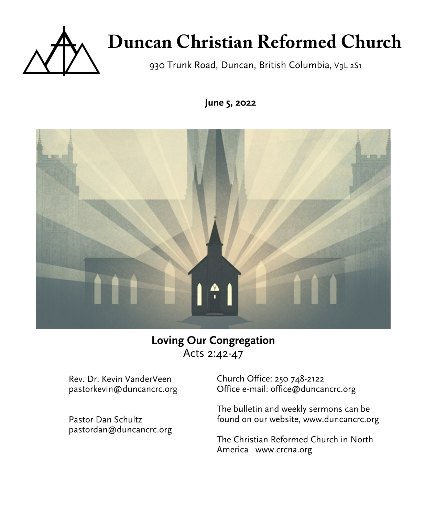

# **Duncan Christian Reformed Church**

930 Trunk Road, Duncan, British Columbia, V9L 2S1

**June 5, 2022**



# **Loving Our Congregation** Acts 2:42-47

Rev. Dr. Kevin VanderVeen pastorkevin@duncancrc.org

Pastor Dan Schultz pastordan@duncancrc.org Church Office: 250 748-2122 Office e-mail: office@duncancrc.org

The bulletin and week[ly](www.duncancrc.org) sermons can be found on our website, www.duncancrc.org

The Christian Reformed Church in North America www.crcna.org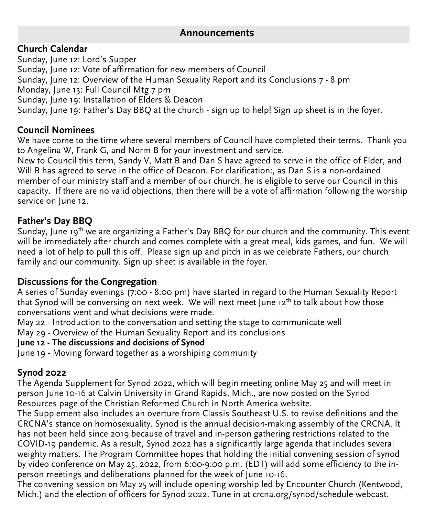## **Announcements**

## **Church Calendar**

Sunday, June 12: Lord's Supper Sunday, June 12: Vote of affirmation for new members of Council Sunday, June 12: Overview of the Human Sexuality Report and its Conclusions 7 - 8 pm Monday, June 13: Full Council Mtg 7 pm Sunday, June 19: Installation of Elders & Deacon Sunday, June 19: Father's Day BBQ at the church - sign up to help! Sign up sheet is in the foyer.

## **Council Nominees**

We have come to the time where several members of Council have completed their terms. Thank you to Angelina W, Frank G, and Norm B for your investment and service.

New to Council this term, Sandy V, Matt B and Dan S have agreed to serve in the office of Elder, and Will B has agreed to serve in the office of Deacon. For clarification:, as Dan S is a non-ordained member of our ministry staff and a member of our church, he is eligible to serve our Council in this capacity. If there are no valid objections, then there will be a vote of affirmation following the worship service on June 12.

## **Father's Day BBQ**

Sunday, June 19<sup>th</sup> we are organizing a Father's Day BBQ for our church and the community. This event will be immediately after church and comes complete with a great meal, kids games, and fun. We will need a lot of help to pull this off. Please sign up and pitch in as we celebrate Fathers, our church family and our community. Sign up sheet is available in the foyer.

## **Discussions for the Congregation**

A series of Sunday evenings (7:00 - 8:00 pm) have started in regard to the Human Sexuality Report that Synod will be conversing on next week. We will next meet June  $12<sup>th</sup>$  to talk about how those conversations went and what decisions were made.

May 22 - Introduction to the conversation and setting the stage to communicate well

May 29 - Overview of the Human Sexuality Report and its conclusions

### **June 12 - The discussions and decisions of Synod**

June 19 - Moving forward together as a worshiping community

## **Synod 2022**

The Agenda Supplement for Synod 2022, which will begin meeting online May 25 and will meet in person June 10-16 at Calvin University in Grand Rapids, Mich., are now posted on the Synod Resources page of the Christian Reformed Church in North America website.

The Supplement also includes an overture from Classis Southeast U.S. to revise definitions and the CRCNA's stance on homosexuality. Synod is the annual decision-making assembly of the CRCNA. It has not been held since 2019 because of travel and in-person gathering restrictions related to the COVID-19 pandemic. As a result, Synod 2022 has a significantly large agenda that includes several weighty matters. The Program Committee hopes that holding the initial convening session of synod by video conference on May 25, 2022, from 6:00-9:00 p.m. (EDT) will add some efficiency to the inperson meetings and deliberations planned for the week of June 10-16.

The convening session on May 25 will include opening worship led by Encounter Church (Kentwood, Mich.) and the election of officers for Synod 2022. Tune in at crcna.org/synod/schedule-webcast.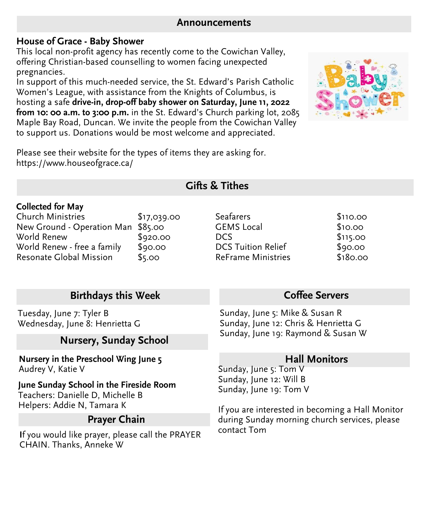#### **Announcements**

## **House of Grace - Baby Shower**

This local non-profit agency has recently come to the Cowichan Valley, offering Christian-based counselling to women facing unexpected pregnancies.

In support of this much-needed service, the St. Edward's Parish Catholic Women's League, with assistance from the Knights of Columbus, is hosting a safe **drive-in, drop-off baby shower on Saturday, June 11, 2022 from 10: 00 a.m. to 3:00 p.m.** in the St. Edward's Church parking lot, 2085 Maple Bay Road, Duncan. We invite the people from the Cowichan Valley to support us. Donations would be most welcome and appreciated.



Please see their website for the types of items they are asking for. https://www.houseofgrace.ca/

# **Gifts & Tithes**

#### **Collected for May**

| <b>Church Ministries</b>           | \$17,039.00 |
|------------------------------------|-------------|
| New Ground - Operation Man \$85.00 |             |
| World Renew                        | \$920.00    |
| World Renew - free a family        | \$90.00     |
| Resonate Global Mission            | \$5.00      |

## **Birthdays this Week**

Tuesday, June 7: Tyler B Wednesday, June 8: Henrietta G

## **Nursery, Sunday School**

**Nursery in the Preschool Wing June 5** Audrey V, Katie V

**June Sunday School in the Fireside Room** Teachers: Danielle D, Michelle B Helpers: Addie N, Tamara K

## **Prayer Chain**

**I**f you would like prayer, please call the PRAYER CHAIN. Thanks, Anneke W

#### Seafarers \$110.00<br>GEMS Local \$10.00 GEMS Local DCS \$115.00 DCS Tuition Relief \$90.00<br>ReFrame Ministries \$180.00 ReFrame Ministries

## **Coffee Servers**

Sunday, June 5: Mike & Susan R Sunday, June 12: Chris & Henrietta G Sunday, June 19: Raymond & Susan W

## **Hall Monitors**

Sunday, June 5: Tom V Sunday, June 12: Will B Sunday, June 19: Tom V

If you are interested in becoming a Hall Monitor during Sunday morning church services, please contact Tom